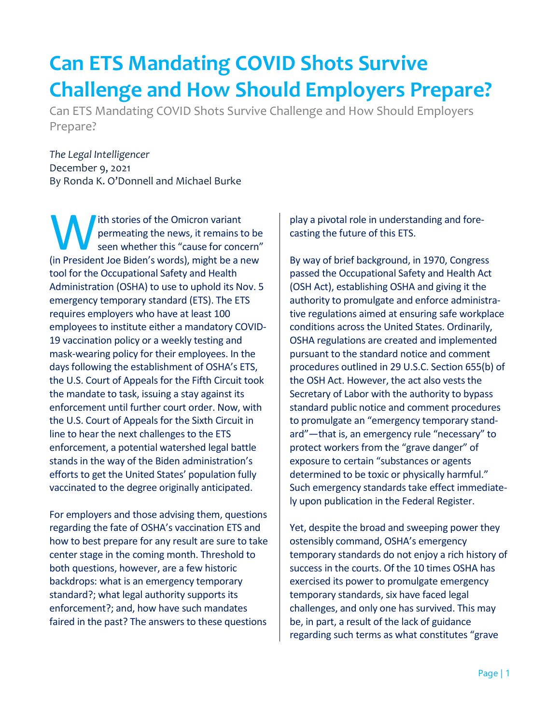## **Can ETS Mandating COVID Shots Survive Challenge and How Should Employers Prepare?**

Can ETS Mandating COVID Shots Survive Challenge and How Should Employers Prepare?

*The Legal Intelligencer*  December 9, 2021 By Ronda K. O'Donnell and Michael Burke

ith stories of the Omicron variant permeating the news, it remains to be seen whether this "cause for concern" (in President Joe Biden's words), it remains to be seen whether this "cause for concern"<br>
(in President Joe Biden's words), might be a new tool for the Occupational Safety and Health Administration (OSHA) to use to uphold its Nov. 5 emergency temporary standard (ETS). The ETS requires employers who have at least 100 employees to institute either a mandatory COVID-19 vaccination policy or a weekly testing and mask-wearing policy for their employees. In the days following the establishment of OSHA's ETS, the U.S. Court of Appeals for the Fifth Circuit took the mandate to task, issuing a stay against its enforcement until further court order. Now, with the U.S. Court of Appeals for the Sixth Circuit in line to hear the next challenges to the ETS enforcement, a potential watershed legal battle stands in the way of the Biden administration's efforts to get the United States' population fully vaccinated to the degree originally anticipated.

For employers and those advising them, questions regarding the fate of OSHA's vaccination ETS and how to best prepare for any result are sure to take center stage in the coming month. Threshold to both questions, however, are a few historic backdrops: what is an emergency temporary standard?; what legal authority supports its enforcement?; and, how have such mandates faired in the past? The answers to these questions

play a pivotal role in understanding and forecasting the future of this ETS.

By way of brief background, in 1970, Congress passed the Occupational Safety and Health Act (OSH Act), establishing OSHA and giving it the authority to promulgate and enforce administrative regulations aimed at ensuring safe workplace conditions across the United States. Ordinarily, OSHA regulations are created and implemented pursuant to the standard notice and comment procedures outlined in 29 U.S.C. Section 655(b) of the OSH Act. However, the act also vests the Secretary of Labor with the authority to bypass standard public notice and comment procedures to promulgate an "emergency temporary standard"—that is, an emergency rule "necessary" to protect workers from the "grave danger" of exposure to certain "substances or agents determined to be toxic or physically harmful." Such emergency standards take effect immediately upon publication in the Federal Register.

Yet, despite the broad and sweeping power they ostensibly command, OSHA's emergency temporary standards do not enjoy a rich history of success in the courts. Of the 10 times OSHA has exercised its power to promulgate emergency temporary standards, six have faced legal challenges, and only one has survived. This may be, in part, a result of the lack of guidance regarding such terms as what constitutes "grave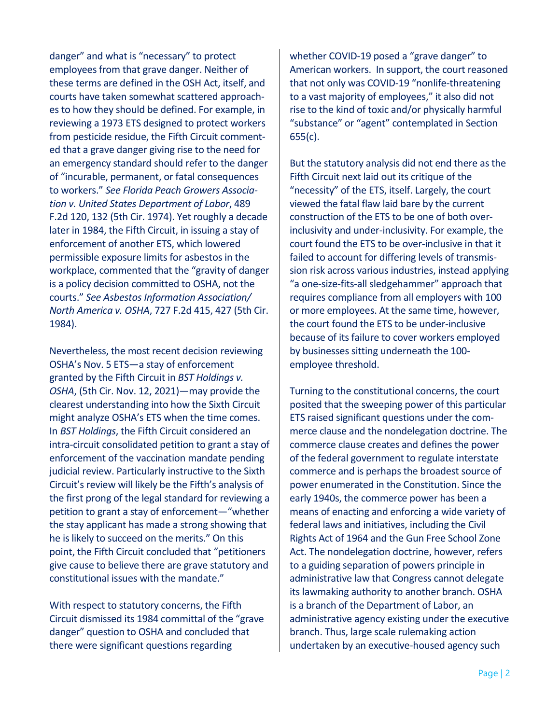danger" and what is "necessary" to protect employees from that grave danger. Neither of these terms are defined in the OSH Act, itself, and courts have taken somewhat scattered approaches to how they should be defined. For example, in reviewing a 1973 ETS designed to protect workers from pesticide residue, the Fifth Circuit commented that a grave danger giving rise to the need for an emergency standard should refer to the danger of "incurable, permanent, or fatal consequences to workers." *See Florida Peach Growers Association v. United States Department of Labor*, 489 F.2d 120, 132 (5th Cir. 1974). Yet roughly a decade later in 1984, the Fifth Circuit, in issuing a stay of enforcement of another ETS, which lowered permissible exposure limits for asbestos in the workplace, commented that the "gravity of danger is a policy decision committed to OSHA, not the courts." *See Asbestos Information Association/ North America v. OSHA*, 727 F.2d 415, 427 (5th Cir. 1984).

Nevertheless, the most recent decision reviewing OSHA's Nov. 5 ETS—a stay of enforcement granted by the Fifth Circuit in *BST Holdings v. OSHA*, (5th Cir. Nov. 12, 2021)—may provide the clearest understanding into how the Sixth Circuit might analyze OSHA's ETS when the time comes. In *BST Holdings*, the Fifth Circuit considered an intra-circuit consolidated petition to grant a stay of enforcement of the vaccination mandate pending judicial review. Particularly instructive to the Sixth Circuit's review will likely be the Fifth's analysis of the first prong of the legal standard for reviewing a petition to grant a stay of enforcement—"whether the stay applicant has made a strong showing that he is likely to succeed on the merits." On this point, the Fifth Circuit concluded that "petitioners give cause to believe there are grave statutory and constitutional issues with the mandate."

With respect to statutory concerns, the Fifth Circuit dismissed its 1984 committal of the "grave danger" question to OSHA and concluded that there were significant questions regarding

whether COVID-19 posed a "grave danger" to American workers. In support, the court reasoned that not only was COVID-19 "nonlife-threatening to a vast majority of employees," it also did not rise to the kind of toxic and/or physically harmful "substance" or "agent" contemplated in Section 655(c).

But the statutory analysis did not end there as the Fifth Circuit next laid out its critique of the "necessity" of the ETS, itself. Largely, the court viewed the fatal flaw laid bare by the current construction of the ETS to be one of both overinclusivity and under-inclusivity. For example, the court found the ETS to be over-inclusive in that it failed to account for differing levels of transmission risk across various industries, instead applying "a one-size-fits-all sledgehammer" approach that requires compliance from all employers with 100 or more employees. At the same time, however, the court found the ETS to be under-inclusive because of its failure to cover workers employed by businesses sitting underneath the 100 employee threshold.

Turning to the constitutional concerns, the court posited that the sweeping power of this particular ETS raised significant questions under the commerce clause and the nondelegation doctrine. The commerce clause creates and defines the power of the federal government to regulate interstate commerce and is perhaps the broadest source of power enumerated in the Constitution. Since the early 1940s, the commerce power has been a means of enacting and enforcing a wide variety of federal laws and initiatives, including the Civil Rights Act of 1964 and the Gun Free School Zone Act. The nondelegation doctrine, however, refers to a guiding separation of powers principle in administrative law that Congress cannot delegate its lawmaking authority to another branch. OSHA is a branch of the Department of Labor, an administrative agency existing under the executive branch. Thus, large scale rulemaking action undertaken by an executive-housed agency such